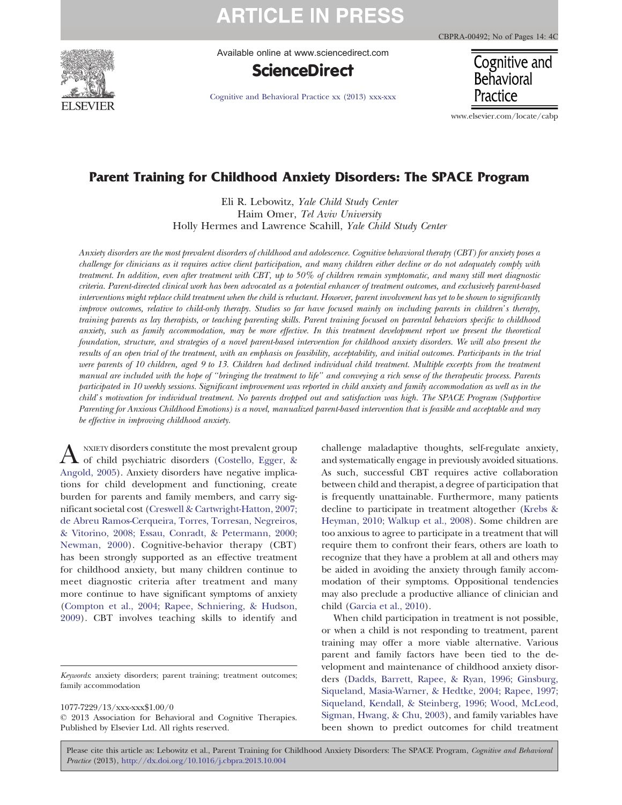

Available online at www.sciencedirect.com



[Cognitive and Behavioral Practice xx \(2013\) xxx-xxx](http://dx.doi.org/)

CBPRA-00492; No of Pages 14: 4C

Cognitive and **Behavioral** Practice

www.elsevier.com/locate/cabp

## Parent Training for Childhood Anxiety Disorders: The SPACE Program

Eli R. Lebowitz, Yale Child Study Center Haim Omer, Tel Aviv University Holly Hermes and Lawrence Scahill, Yale Child Study Center

Anxiety disorders are the most prevalent disorders of childhood and adolescence. Cognitive behavioral therapy (CBT) for anxiety poses a challenge for clinicians as it requires active client participation, and many children either decline or do not adequately comply with treatment. In addition, even after treatment with CBT, up to 50% of children remain symptomatic, and many still meet diagnostic criteria. Parent-directed clinical work has been advocated as a potential enhancer of treatment outcomes, and exclusively parent-based interventions might replace child treatment when the child is reluctant. However, parent involvement has yet to be shown to significantly improve outcomes, relative to child-only therapy. Studies so far have focused mainly on including parents in children's therapy, training parents as lay therapists, or teaching parenting skills. Parent training focused on parental behaviors specific to childhood anxiety, such as family accommodation, may be more effective. In this treatment development report we present the theoretical foundation, structure, and strategies of a novel parent-based intervention for childhood anxiety disorders. We will also present the results of an open trial of the treatment, with an emphasis on feasibility, acceptability, and initial outcomes. Participants in the trial were parents of 10 children, aged 9 to 13. Children had declined individual child treatment. Multiple excerpts from the treatment manual are included with the hope of "bringing the treatment to life" and conveying a rich sense of the therapeutic process. Parents participated in 10 weekly sessions. Significant improvement was reported in child anxiety and family accommodation as well as in the child's motivation for individual treatment. No parents dropped out and satisfaction was high. The SPACE Program (Supportive Parenting for Anxious Childhood Emotions) is a novel, manualized parent-based intervention that is feasible and acceptable and may be effective in improving childhood anxiety.

A NXIETY disorders constitute the most prevalent group<br>of child psychiatric disorders ([Costello, Egger, &](#page-11-0) [Angold, 2005\)](#page-11-0). Anxiety disorders have negative implications for child development and functioning, create burden for parents and family members, and carry significant societal cost ([Creswell & Cartwright-Hatton, 2007;](#page-11-0) [de Abreu Ramos-Cerqueira, Torres, Torresan, Negreiros,](#page-11-0) [& Vitorino, 2008; Essau, Conradt, & Petermann, 2000;](#page-11-0) [Newman, 2000\)](#page-11-0). Cognitive-behavior therapy (CBT) has been strongly supported as an effective treatment for childhood anxiety, but many children continue to meet diagnostic criteria after treatment and many more continue to have significant symptoms of anxiety ([Compton et al., 2004; Rapee, Schniering, & Hudson,](#page-11-0) [2009](#page-11-0)). CBT involves teaching skills to identify and

1077-7229/13/xxx-xxx\$1.00/0

© 2013 Association for Behavioral and Cognitive Therapies. Published by Elsevier Ltd. All rights reserved.

challenge maladaptive thoughts, self-regulate anxiety, and systematically engage in previously avoided situations. As such, successful CBT requires active collaboration between child and therapist, a degree of participation that is frequently unattainable. Furthermore, many patients decline to participate in treatment altogether ([Krebs &](#page-12-0) [Heyman, 2010; Walkup et al., 2008](#page-12-0)). Some children are too anxious to agree to participate in a treatment that will require them to confront their fears, others are loath to recognize that they have a problem at all and others may be aided in avoiding the anxiety through family accommodation of their symptoms. Oppositional tendencies may also preclude a productive alliance of clinician and child [\(Garcia et al., 2010](#page-11-0)).

When child participation in treatment is not possible, or when a child is not responding to treatment, parent training may offer a more viable alternative. Various parent and family factors have been tied to the development and maintenance of childhood anxiety disorders ([Dadds, Barrett, Rapee, & Ryan, 1996; Ginsburg,](#page-11-0) [Siqueland, Masia-Warner, & Hedtke, 2004; Rapee, 1997;](#page-11-0) [Siqueland, Kendall, & Steinberg, 1996; Wood, McLeod,](#page-11-0) [Sigman, Hwang, & Chu, 2003\)](#page-11-0), and family variables have been shown to predict outcomes for child treatment

Keywords: anxiety disorders; parent training; treatment outcomes; family accommodation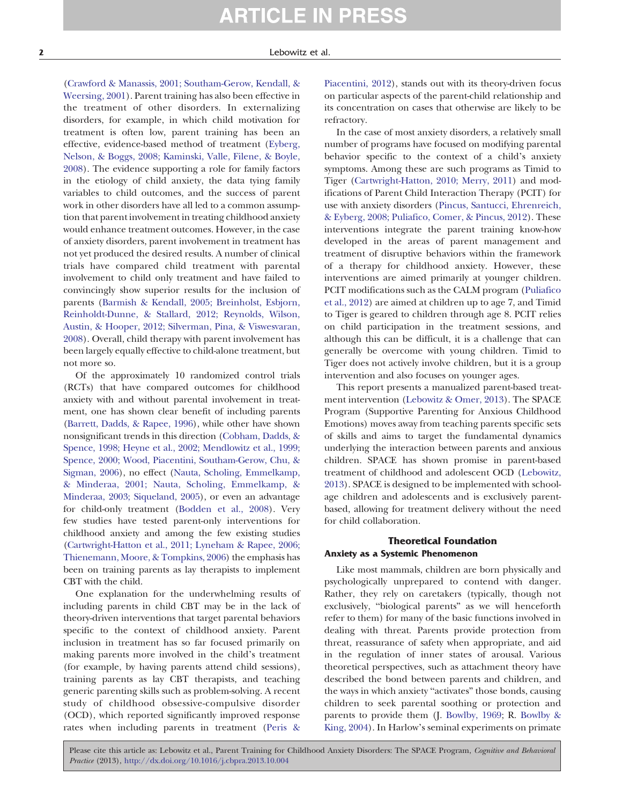[\(Crawford & Manassis, 2001; Southam-Gerow, Kendall, &](#page-11-0) [Weersing, 2001](#page-11-0)). Parent training has also been effective in the treatment of other disorders. In externalizing disorders, for example, in which child motivation for treatment is often low, parent training has been an effective, evidence-based method of treatment ([Eyberg,](#page-11-0) [Nelson, & Boggs, 2008; Kaminski, Valle, Filene, & Boyle,](#page-11-0) [2008\)](#page-11-0). The evidence supporting a role for family factors in the etiology of child anxiety, the data tying family variables to child outcomes, and the success of parent work in other disorders have all led to a common assumption that parent involvement in treating childhood anxiety would enhance treatment outcomes. However, in the case of anxiety disorders, parent involvement in treatment has not yet produced the desired results. A number of clinical trials have compared child treatment with parental involvement to child only treatment and have failed to convincingly show superior results for the inclusion of parents ([Barmish & Kendall, 2005; Breinholst, Esbjorn,](#page-11-0) [Reinholdt-Dunne, & Stallard, 2012; Reynolds, Wilson,](#page-11-0) [Austin, & Hooper, 2012; Silverman, Pina, & Viswesvaran,](#page-11-0) [2008\)](#page-11-0). Overall, child therapy with parent involvement has been largely equally effective to child-alone treatment, but not more so.

Of the approximately 10 randomized control trials (RCTs) that have compared outcomes for childhood anxiety with and without parental involvement in treatment, one has shown clear benefit of including parents [\(Barrett, Dadds, & Rapee, 1996\)](#page-11-0), while other have shown nonsignificant trends in this direction [\(Cobham, Dadds, &](#page-11-0) [Spence, 1998; Heyne et al., 2002; Mendlowitz et al., 1999;](#page-11-0) [Spence, 2000; Wood, Piacentini, Southam-Gerow, Chu, &](#page-11-0) [Sigman, 2006](#page-11-0)), no effect [\(Nauta, Scholing, Emmelkamp,](#page-12-0) [& Minderaa, 2001; Nauta, Scholing, Emmelkamp, &](#page-12-0) [Minderaa, 2003; Siqueland, 2005\)](#page-12-0), or even an advantage for child-only treatment [\(Bodden et al., 2008\)](#page-11-0). Very few studies have tested parent-only interventions for childhood anxiety and among the few existing studies [\(Cartwright-Hatton et al., 2011; Lyneham & Rapee, 2006;](#page-11-0) [Thienemann, Moore, & Tompkins, 2006](#page-11-0)) the emphasis has been on training parents as lay therapists to implement CBT with the child.

One explanation for the underwhelming results of including parents in child CBT may be in the lack of theory-driven interventions that target parental behaviors specific to the context of childhood anxiety. Parent inclusion in treatment has so far focused primarily on making parents more involved in the child's treatment (for example, by having parents attend child sessions), training parents as lay CBT therapists, and teaching generic parenting skills such as problem-solving. A recent study of childhood obsessive-compulsive disorder (OCD), which reported significantly improved response rates when including parents in treatment [\(Peris &](#page-12-0)

[Piacentini, 2012](#page-12-0)), stands out with its theory-driven focus on particular aspects of the parent-child relationship and its concentration on cases that otherwise are likely to be refractory.

In the case of most anxiety disorders, a relatively small number of programs have focused on modifying parental behavior specific to the context of a child's anxiety symptoms. Among these are such programs as Timid to Tiger [\(Cartwright-Hatton, 2010; Merry, 2011\)](#page-11-0) and modifications of Parent Child Interaction Therapy (PCIT) for use with anxiety disorders [\(Pincus, Santucci, Ehrenreich,](#page-12-0) [& Eyberg, 2008; Puliafico, Comer, & Pincus, 2012](#page-12-0)). These interventions integrate the parent training know-how developed in the areas of parent management and treatment of disruptive behaviors within the framework of a therapy for childhood anxiety. However, these interventions are aimed primarily at younger children. PCIT modifications such as the CALM program ([Puliafico](#page-12-0) [et al., 2012](#page-12-0)) are aimed at children up to age 7, and Timid to Tiger is geared to children through age 8. PCIT relies on child participation in the treatment sessions, and although this can be difficult, it is a challenge that can generally be overcome with young children. Timid to Tiger does not actively involve children, but it is a group intervention and also focuses on younger ages.

This report presents a manualized parent-based treatment intervention ([Lebowitz & Omer, 2013](#page-12-0)). The SPACE Program (Supportive Parenting for Anxious Childhood Emotions) moves away from teaching parents specific sets of skills and aims to target the fundamental dynamics underlying the interaction between parents and anxious children. SPACE has shown promise in parent-based treatment of childhood and adolescent OCD ([Lebowitz,](#page-12-0) [2013\)](#page-12-0). SPACE is designed to be implemented with schoolage children and adolescents and is exclusively parentbased, allowing for treatment delivery without the need for child collaboration.

### Theoretical Foundation Anxiety as a Systemic Phenomenon

Like most mammals, children are born physically and psychologically unprepared to contend with danger. Rather, they rely on caretakers (typically, though not exclusively, "biological parents" as we will henceforth refer to them) for many of the basic functions involved in dealing with threat. Parents provide protection from threat, reassurance of safety when appropriate, and aid in the regulation of inner states of arousal. Various theoretical perspectives, such as attachment theory have described the bond between parents and children, and the ways in which anxiety "activates" those bonds, causing children to seek parental soothing or protection and parents to provide them (J. [Bowlby, 1969;](#page-11-0) R. [Bowlby &](#page-11-0) [King, 2004](#page-11-0)). In Harlow's seminal experiments on primate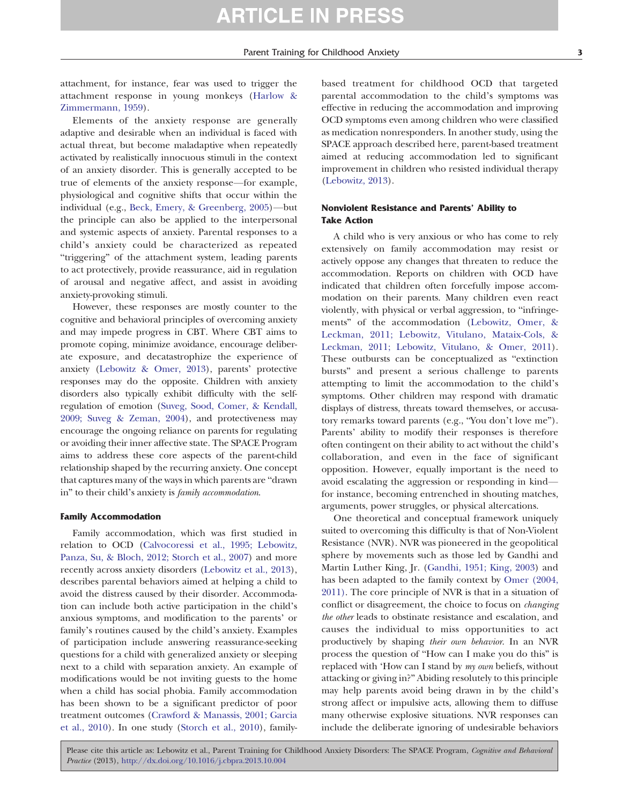attachment, for instance, fear was used to trigger the attachment response in young monkeys [\(Harlow &](#page-11-0) [Zimmermann, 1959\)](#page-11-0).

Elements of the anxiety response are generally adaptive and desirable when an individual is faced with actual threat, but become maladaptive when repeatedly activated by realistically innocuous stimuli in the context of an anxiety disorder. This is generally accepted to be true of elements of the anxiety response—for example, physiological and cognitive shifts that occur within the individual (e.g., [Beck, Emery, & Greenberg, 2005\)](#page-11-0)—but the principle can also be applied to the interpersonal and systemic aspects of anxiety. Parental responses to a child's anxiety could be characterized as repeated "triggering" of the attachment system, leading parents to act protectively, provide reassurance, aid in regulation of arousal and negative affect, and assist in avoiding anxiety-provoking stimuli.

However, these responses are mostly counter to the cognitive and behavioral principles of overcoming anxiety and may impede progress in CBT. Where CBT aims to promote coping, minimize avoidance, encourage deliberate exposure, and decatastrophize the experience of anxiety ([Lebowitz & Omer, 2013\)](#page-12-0), parents' protective responses may do the opposite. Children with anxiety disorders also typically exhibit difficulty with the selfregulation of emotion [\(Suveg, Sood, Comer, & Kendall,](#page-13-0) [2009; Suveg & Zeman, 2004\)](#page-13-0), and protectiveness may encourage the ongoing reliance on parents for regulating or avoiding their inner affective state. The SPACE Program aims to address these core aspects of the parent-child relationship shaped by the recurring anxiety. One concept that captures many of the ways in which parents are "drawn in" to their child's anxiety is family accommodation.

#### Family Accommodation

Family accommodation, which was first studied in relation to OCD [\(Calvocoressi et al., 1995; Lebowitz,](#page-11-0) [Panza, Su, & Bloch, 2012; Storch et al., 2007\)](#page-11-0) and more recently across anxiety disorders ([Lebowitz et al., 2013](#page-12-0)), describes parental behaviors aimed at helping a child to avoid the distress caused by their disorder. Accommodation can include both active participation in the child's anxious symptoms, and modification to the parents' or family's routines caused by the child's anxiety. Examples of participation include answering reassurance-seeking questions for a child with generalized anxiety or sleeping next to a child with separation anxiety. An example of modifications would be not inviting guests to the home when a child has social phobia. Family accommodation has been shown to be a significant predictor of poor treatment outcomes [\(Crawford & Manassis, 2001; Garcia](#page-11-0) [et al., 2010](#page-11-0)). In one study [\(Storch et al., 2010](#page-12-0)), familybased treatment for childhood OCD that targeted parental accommodation to the child's symptoms was effective in reducing the accommodation and improving OCD symptoms even among children who were classified as medication nonresponders. In another study, using the SPACE approach described here, parent-based treatment aimed at reducing accommodation led to significant improvement in children who resisted individual therapy ([Lebowitz, 2013\)](#page-12-0).

### Nonviolent Resistance and Parents' Ability to Take Action

A child who is very anxious or who has come to rely extensively on family accommodation may resist or actively oppose any changes that threaten to reduce the accommodation. Reports on children with OCD have indicated that children often forcefully impose accommodation on their parents. Many children even react violently, with physical or verbal aggression, to "infringements" of the accommodation ([Lebowitz, Omer, &](#page-12-0) [Leckman, 2011; Lebowitz, Vitulano, Mataix-Cols, &](#page-12-0) [Leckman, 2011; Lebowitz, Vitulano, & Omer, 2011](#page-12-0)). These outbursts can be conceptualized as "extinction bursts" and present a serious challenge to parents attempting to limit the accommodation to the child's symptoms. Other children may respond with dramatic displays of distress, threats toward themselves, or accusatory remarks toward parents (e.g., "You don't love me"). Parents' ability to modify their responses is therefore often contingent on their ability to act without the child's collaboration, and even in the face of significant opposition. However, equally important is the need to avoid escalating the aggression or responding in kind for instance, becoming entrenched in shouting matches, arguments, power struggles, or physical altercations.

One theoretical and conceptual framework uniquely suited to overcoming this difficulty is that of Non-Violent Resistance (NVR). NVR was pioneered in the geopolitical sphere by movements such as those led by Gandhi and Martin Luther King, Jr. ([Gandhi, 1951; King, 2003\)](#page-11-0) and has been adapted to the family context by [Omer \(2004,](#page-12-0) [2011\).](#page-12-0) The core principle of NVR is that in a situation of conflict or disagreement, the choice to focus on changing the other leads to obstinate resistance and escalation, and causes the individual to miss opportunities to act productively by shaping their own behavior. In an NVR process the question of "How can I make you do this" is replaced with 'How can I stand by my own beliefs, without attacking or giving in?" Abiding resolutely to this principle may help parents avoid being drawn in by the child's strong affect or impulsive acts, allowing them to diffuse many otherwise explosive situations. NVR responses can include the deliberate ignoring of undesirable behaviors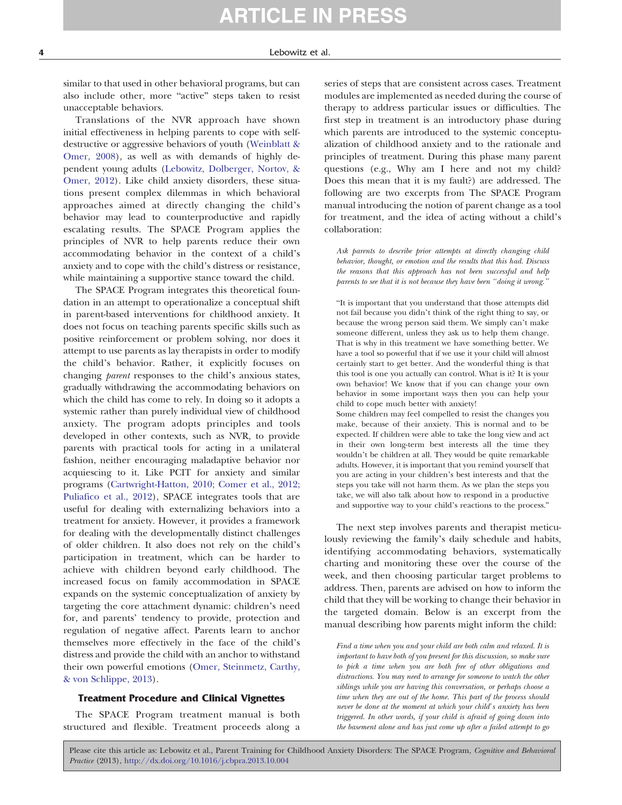#### Lebowitz et al.

similar to that used in other behavioral programs, but can also include other, more "active" steps taken to resist unacceptable behaviors.

Translations of the NVR approach have shown initial effectiveness in helping parents to cope with selfdestructive or aggressive behaviors of youth [\(Weinblatt &](#page-13-0) [Omer, 2008\)](#page-13-0), as well as with demands of highly dependent young adults ([Lebowitz, Dolberger, Nortov, &](#page-12-0) [Omer, 2012\)](#page-12-0). Like child anxiety disorders, these situations present complex dilemmas in which behavioral approaches aimed at directly changing the child's behavior may lead to counterproductive and rapidly escalating results. The SPACE Program applies the principles of NVR to help parents reduce their own accommodating behavior in the context of a child's anxiety and to cope with the child's distress or resistance, while maintaining a supportive stance toward the child.

The SPACE Program integrates this theoretical foundation in an attempt to operationalize a conceptual shift in parent-based interventions for childhood anxiety. It does not focus on teaching parents specific skills such as positive reinforcement or problem solving, nor does it attempt to use parents as lay therapists in order to modify the child's behavior. Rather, it explicitly focuses on changing parent responses to the child's anxious states, gradually withdrawing the accommodating behaviors on which the child has come to rely. In doing so it adopts a systemic rather than purely individual view of childhood anxiety. The program adopts principles and tools developed in other contexts, such as NVR, to provide parents with practical tools for acting in a unilateral fashion, neither encouraging maladaptive behavior nor acquiescing to it. Like PCIT for anxiety and similar programs [\(Cartwright-Hatton, 2010; Comer et al., 2012;](#page-11-0) [Puliafico et al., 2012\)](#page-11-0), SPACE integrates tools that are useful for dealing with externalizing behaviors into a treatment for anxiety. However, it provides a framework for dealing with the developmentally distinct challenges of older children. It also does not rely on the child's participation in treatment, which can be harder to achieve with children beyond early childhood. The increased focus on family accommodation in SPACE expands on the systemic conceptualization of anxiety by targeting the core attachment dynamic: children's need for, and parents' tendency to provide, protection and regulation of negative affect. Parents learn to anchor themselves more effectively in the face of the child's distress and provide the child with an anchor to withstand their own powerful emotions ([Omer, Steinmetz, Carthy,](#page-12-0) [& von Schlippe, 2013\)](#page-12-0).

### Treatment Procedure and Clinical Vignettes

The SPACE Program treatment manual is both structured and flexible. Treatment proceeds along a series of steps that are consistent across cases. Treatment modules are implemented as needed during the course of therapy to address particular issues or difficulties. The first step in treatment is an introductory phase during which parents are introduced to the systemic conceptualization of childhood anxiety and to the rationale and principles of treatment. During this phase many parent questions (e.g., Why am I here and not my child? Does this mean that it is my fault?) are addressed. The following are two excerpts from The SPACE Program manual introducing the notion of parent change as a tool for treatment, and the idea of acting without a child's collaboration:

Ask parents to describe prior attempts at directly changing child behavior, thought, or emotion and the results that this had. Discuss the reasons that this approach has not been successful and help parents to see that it is not because they have been "doing it wrong."

"It is important that you understand that those attempts did not fail because you didn't think of the right thing to say, or because the wrong person said them. We simply can't make someone different, unless they ask us to help them change. That is why in this treatment we have something better. We have a tool so powerful that if we use it your child will almost certainly start to get better. And the wonderful thing is that this tool is one you actually can control. What is it? It is your own behavior! We know that if you can change your own behavior in some important ways then you can help your child to cope much better with anxiety! Some children may feel compelled to resist the changes you make, because of their anxiety. This is normal and to be

expected. If children were able to take the long view and act in their own long-term best interests all the time they wouldn't be children at all. They would be quite remarkable adults. However, it is important that you remind yourself that you are acting in your children's best interests and that the steps you take will not harm them. As we plan the steps you take, we will also talk about how to respond in a productive and supportive way to your child's reactions to the process."

The next step involves parents and therapist meticulously reviewing the family's daily schedule and habits, identifying accommodating behaviors, systematically charting and monitoring these over the course of the week, and then choosing particular target problems to address. Then, parents are advised on how to inform the child that they will be working to change their behavior in the targeted domain. Below is an excerpt from the manual describing how parents might inform the child:

Find a time when you and your child are both calm and relaxed. It is important to have both of you present for this discussion, so make sure to pick a time when you are both free of other obligations and distractions. You may need to arrange for someone to watch the other siblings while you are having this conversation, or perhaps choose a time when they are out of the home. This part of the process should never be done at the moment at which your child's anxiety has been triggered. In other words, if your child is afraid of going down into the basement alone and has just come up after a failed attempt to go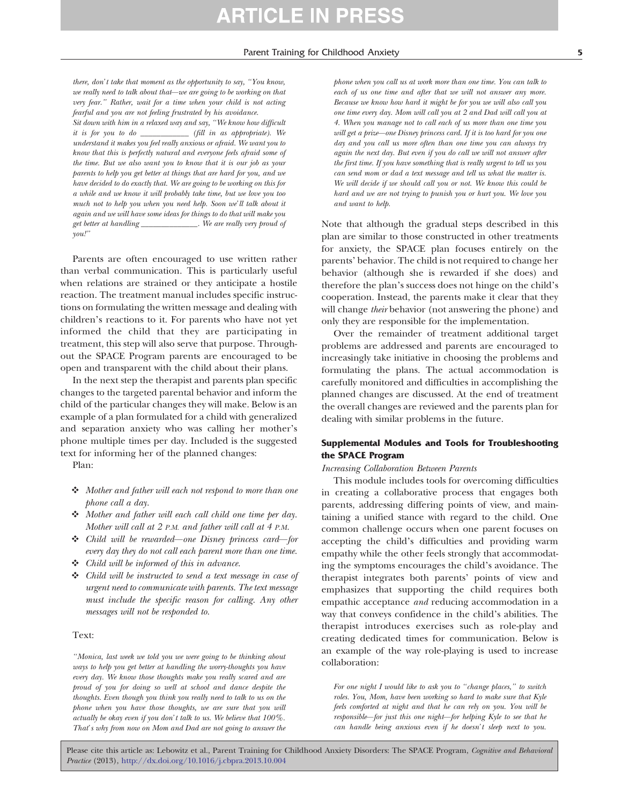there, don't take that moment as the opportunity to say, "You know, we really need to talk about that—we are going to be working on that very fear." Rather, wait for a time when your child is not acting fearful and you are not feeling frustrated by his avoidance. Sit down with him in a relaxed way and say, "We know how difficult it is for you to do \_\_\_\_\_\_\_\_\_\_\_\_ (fill in as appropriate). We understand it makes you feel really anxious or afraid. We want you to know that this is perfectly natural and everyone feels afraid some of the time. But we also want you to know that it is our job as your parents to help you get better at things that are hard for you, and we have decided to do exactly that. We are going to be working on this for a while and we know it will probably take time, but we love you too much not to help you when you need help. Soon we'll talk about it again and we will have some ideas for things to do that will make you get better at handling \_\_\_\_\_\_\_\_\_\_\_\_\_\_. We are really very proud of you!"

Parents are often encouraged to use written rather than verbal communication. This is particularly useful when relations are strained or they anticipate a hostile reaction. The treatment manual includes specific instructions on formulating the written message and dealing with children's reactions to it. For parents who have not yet informed the child that they are participating in treatment, this step will also serve that purpose. Throughout the SPACE Program parents are encouraged to be open and transparent with the child about their plans.

In the next step the therapist and parents plan specific changes to the targeted parental behavior and inform the child of the particular changes they will make. Below is an example of a plan formulated for a child with generalized and separation anxiety who was calling her mother's phone multiple times per day. Included is the suggested text for informing her of the planned changes:

Plan:

- ❖ Mother and father will each not respond to more than one phone call a day.
- ❖ Mother and father will each call child one time per day. Mother will call at 2 P.M. and father will call at 4 P.M.
- ❖ Child will be rewarded—one Disney princess card—for every day they do not call each parent more than one time.
- ❖ Child will be informed of this in advance.
- ❖ Child will be instructed to send a text message in case of urgent need to communicate with parents. The text message must include the specific reason for calling. Any other messages will not be responded to.

#### Text:

"Monica, last week we told you we were going to be thinking about ways to help you get better at handling the worry-thoughts you have every day. We know those thoughts make you really scared and are proud of you for doing so well at school and dance despite the thoughts. Even though you think you really need to talk to us on the phone when you have those thoughts, we are sure that you will actually be okay even if you don't talk to us. We believe that 100%. That's why from now on Mom and Dad are not going to answer the phone when you call us at work more than one time. You can talk to each of us one time and after that we will not answer any more. Because we know how hard it might be for you we will also call you one time every day. Mom will call you at 2 and Dad will call you at 4. When you manage not to call each of us more than one time you will get a prize—one Disney princess card. If it is too hard for you one day and you call us more often than one time you can always try again the next day. But even if you do call we will not answer after the first time. If you have something that is really urgent to tell us you can send mom or dad a text message and tell us what the matter is. We will decide if we should call you or not. We know this could be hard and we are not trying to punish you or hurt you. We love you and want to help.

Note that although the gradual steps described in this plan are similar to those constructed in other treatments for anxiety, the SPACE plan focuses entirely on the parents' behavior. The child is not required to change her behavior (although she is rewarded if she does) and therefore the plan's success does not hinge on the child's cooperation. Instead, the parents make it clear that they will change their behavior (not answering the phone) and only they are responsible for the implementation.

Over the remainder of treatment additional target problems are addressed and parents are encouraged to increasingly take initiative in choosing the problems and formulating the plans. The actual accommodation is carefully monitored and difficulties in accomplishing the planned changes are discussed. At the end of treatment the overall changes are reviewed and the parents plan for dealing with similar problems in the future.

### Supplemental Modules and Tools for Troubleshooting the SPACE Program

Increasing Collaboration Between Parents

This module includes tools for overcoming difficulties in creating a collaborative process that engages both parents, addressing differing points of view, and maintaining a unified stance with regard to the child. One common challenge occurs when one parent focuses on accepting the child's difficulties and providing warm empathy while the other feels strongly that accommodating the symptoms encourages the child's avoidance. The therapist integrates both parents' points of view and emphasizes that supporting the child requires both empathic acceptance and reducing accommodation in a way that conveys confidence in the child's abilities. The therapist introduces exercises such as role-play and creating dedicated times for communication. Below is an example of the way role-playing is used to increase collaboration:

For one night I would like to ask you to "change places," to switch roles. You, Mom, have been working so hard to make sure that Kyle feels comforted at night and that he can rely on you. You will be responsible—for just this one night—for helping Kyle to see that he can handle being anxious even if he doesn't sleep next to you.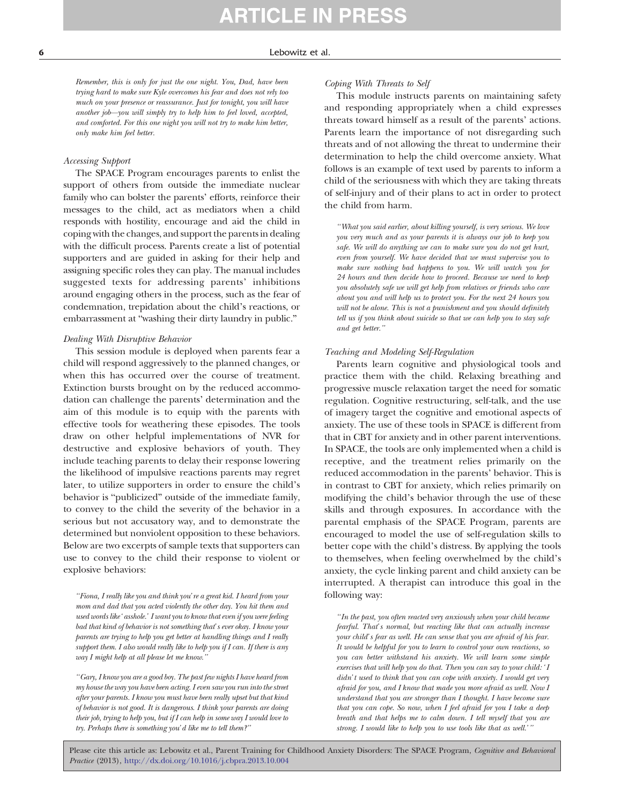#### **6** Lebowitz et al.

Remember, this is only for just the one night. You, Dad, have been trying hard to make sure Kyle overcomes his fear and does not rely too much on your presence or reassurance. Just for tonight, you will have another job—you will simply try to help him to feel loved, accepted, and comforted. For this one night you will not try to make him better, only make him feel better.

#### Accessing Support

The SPACE Program encourages parents to enlist the support of others from outside the immediate nuclear family who can bolster the parents' efforts, reinforce their messages to the child, act as mediators when a child responds with hostility, encourage and aid the child in coping with the changes, and support the parents in dealing with the difficult process. Parents create a list of potential supporters and are guided in asking for their help and assigning specific roles they can play. The manual includes suggested texts for addressing parents' inhibitions around engaging others in the process, such as the fear of condemnation, trepidation about the child's reactions, or embarrassment at "washing their dirty laundry in public."

#### Dealing With Disruptive Behavior

This session module is deployed when parents fear a child will respond aggressively to the planned changes, or when this has occurred over the course of treatment. Extinction bursts brought on by the reduced accommodation can challenge the parents' determination and the aim of this module is to equip with the parents with effective tools for weathering these episodes. The tools draw on other helpful implementations of NVR for destructive and explosive behaviors of youth. They include teaching parents to delay their response lowering the likelihood of impulsive reactions parents may regret later, to utilize supporters in order to ensure the child's behavior is "publicized" outside of the immediate family, to convey to the child the severity of the behavior in a serious but not accusatory way, and to demonstrate the determined but nonviolent opposition to these behaviors. Below are two excerpts of sample texts that supporters can use to convey to the child their response to violent or explosive behaviors:

"Fiona, I really like you and think you're a great kid. I heard from your mom and dad that you acted violently the other day. You hit them and used words like'asshole.' I want you to know that even if you were feeling bad that kind of behavior is not something that's ever okay. I know your parents are trying to help you get better at handling things and I really support them. I also would really like to help you if I can. If there is any way I might help at all please let me know."

"Gary, I know you are a good boy. The past few nights I have heard from my house the way you have been acting. I even saw you run into the street after your parents. I know you must have been really upset but that kind of behavior is not good. It is dangerous. I think your parents are doing their job, trying to help you, but if I can help in some way I would love to try. Perhaps there is something you'd like me to tell them?"

### Coping With Threats to Self

This module instructs parents on maintaining safety and responding appropriately when a child expresses threats toward himself as a result of the parents' actions. Parents learn the importance of not disregarding such threats and of not allowing the threat to undermine their determination to help the child overcome anxiety. What follows is an example of text used by parents to inform a child of the seriousness with which they are taking threats of self-injury and of their plans to act in order to protect the child from harm.

"What you said earlier, about killing yourself, is very serious. We love you very much and as your parents it is always our job to keep you safe. We will do anything we can to make sure you do not get hurt, even from yourself. We have decided that we must supervise you to make sure nothing bad happens to you. We will watch you for 24 hours and then decide how to proceed. Because we need to keep you absolutely safe we will get help from relatives or friends who care about you and will help us to protect you. For the next 24 hours you will not be alone. This is not a punishment and you should definitely tell us if you think about suicide so that we can help you to stay safe and get better."

#### Teaching and Modeling Self-Regulation

Parents learn cognitive and physiological tools and practice them with the child. Relaxing breathing and progressive muscle relaxation target the need for somatic regulation. Cognitive restructuring, self-talk, and the use of imagery target the cognitive and emotional aspects of anxiety. The use of these tools in SPACE is different from that in CBT for anxiety and in other parent interventions. In SPACE, the tools are only implemented when a child is receptive, and the treatment relies primarily on the reduced accommodation in the parents' behavior. This is in contrast to CBT for anxiety, which relies primarily on modifying the child's behavior through the use of these skills and through exposures. In accordance with the parental emphasis of the SPACE Program, parents are encouraged to model the use of self-regulation skills to better cope with the child's distress. By applying the tools to themselves, when feeling overwhelmed by the child's anxiety, the cycle linking parent and child anxiety can be interrupted. A therapist can introduce this goal in the following way:

"In the past, you often reacted very anxiously when your child became fearful. That's normal, but reacting like that can actually increase your child's fear as well. He can sense that you are afraid of his fear. It would be helpful for you to learn to control your own reactions, so you can better withstand his anxiety. We will learn some simple exercises that will help you do that. Then you can say to your child: 'I didn't used to think that you can cope with anxiety. I would get very afraid for you, and I know that made you more afraid as well. Now I understand that you are stronger than I thought. I have become sure that you can cope. So now, when I feel afraid for you I take a deep breath and that helps me to calm down. I tell myself that you are strong. I would like to help you to use tools like that as well.'"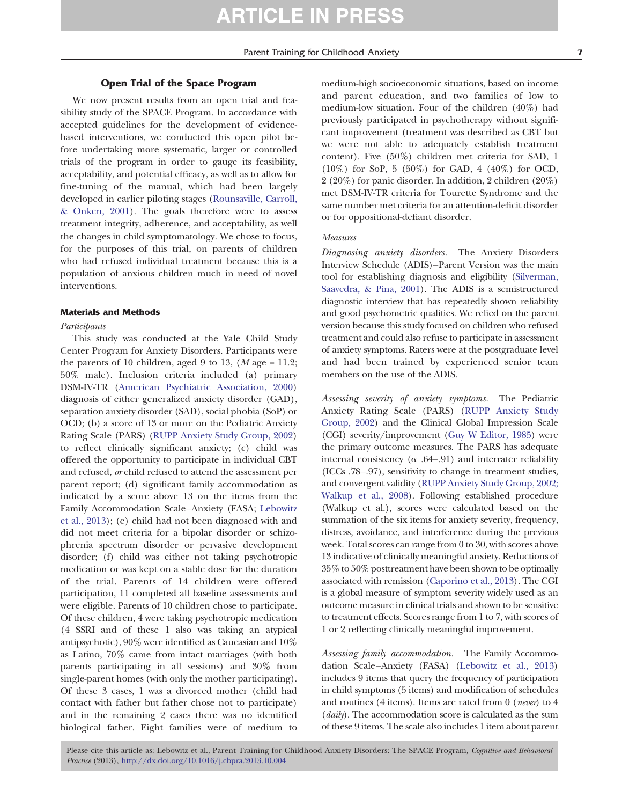#### Parent Training for Childhood Anxiety 7 and 7 and 7 and 7 and 7 and 7 and 7 and 7 and 7 and 7 and 7 and 7 and 7 and 7 and 7 and 7 and 7 and 7 and 7 and 7 and 7 and 7 and 7 and 7 and 7 and 7 and 7 and 7 and 7 and 7 and 7 an

### Open Trial of the Space Program

We now present results from an open trial and feasibility study of the SPACE Program. In accordance with accepted guidelines for the development of evidencebased interventions, we conducted this open pilot before undertaking more systematic, larger or controlled trials of the program in order to gauge its feasibility, acceptability, and potential efficacy, as well as to allow for fine-tuning of the manual, which had been largely developed in earlier piloting stages ([Rounsaville, Carroll,](#page-12-0) [& Onken, 2001\)](#page-12-0). The goals therefore were to assess treatment integrity, adherence, and acceptability, as well the changes in child symptomatology. We chose to focus, for the purposes of this trial, on parents of children who had refused individual treatment because this is a population of anxious children much in need of novel interventions.

### Materials and Methods

#### Participants

This study was conducted at the Yale Child Study Center Program for Anxiety Disorders. Participants were the parents of 10 children, aged 9 to 13,  $(M \text{ age} = 11.2;$ 50% male). Inclusion criteria included (a) primary DSM-IV-TR ([American Psychiatric Association, 2000\)](#page-11-0) diagnosis of either generalized anxiety disorder (GAD), separation anxiety disorder (SAD), social phobia (SoP) or OCD; (b) a score of 13 or more on the Pediatric Anxiety Rating Scale (PARS) ([RUPP Anxiety Study Group, 2002\)](#page-12-0) to reflect clinically significant anxiety; (c) child was offered the opportunity to participate in individual CBT and refused, or child refused to attend the assessment per parent report; (d) significant family accommodation as indicated by a score above 13 on the items from the Family Accommodation Scale–Anxiety (FASA; [Lebowitz](#page-12-0) [et al., 2013](#page-12-0)); (e) child had not been diagnosed with and did not meet criteria for a bipolar disorder or schizophrenia spectrum disorder or pervasive development disorder; (f) child was either not taking psychotropic medication or was kept on a stable dose for the duration of the trial. Parents of 14 children were offered participation, 11 completed all baseline assessments and were eligible. Parents of 10 children chose to participate. Of these children, 4 were taking psychotropic medication (4 SSRI and of these 1 also was taking an atypical antipsychotic), 90% were identified as Caucasian and 10% as Latino, 70% came from intact marriages (with both parents participating in all sessions) and 30% from single-parent homes (with only the mother participating). Of these 3 cases, 1 was a divorced mother (child had contact with father but father chose not to participate) and in the remaining 2 cases there was no identified biological father. Eight families were of medium to

medium-high socioeconomic situations, based on income and parent education, and two families of low to medium-low situation. Four of the children (40%) had previously participated in psychotherapy without significant improvement (treatment was described as CBT but we were not able to adequately establish treatment content). Five (50%) children met criteria for SAD, 1 (10%) for SoP, 5 (50%) for GAD, 4 (40%) for OCD, 2 (20%) for panic disorder. In addition, 2 children (20%) met DSM-IV-TR criteria for Tourette Syndrome and the same number met criteria for an attention-deficit disorder or for oppositional-defiant disorder.

### Measures

Diagnosing anxiety disorders. The Anxiety Disorders Interview Schedule (ADIS)–Parent Version was the main tool for establishing diagnosis and eligibility ([Silverman,](#page-12-0) [Saavedra, & Pina, 2001\)](#page-12-0). The ADIS is a semistructured diagnostic interview that has repeatedly shown reliability and good psychometric qualities. We relied on the parent version because this study focused on children who refused treatment and could also refuse to participate in assessment of anxiety symptoms. Raters were at the postgraduate level and had been trained by experienced senior team members on the use of the ADIS.

Assessing severity of anxiety symptoms. The Pediatric Anxiety Rating Scale (PARS) ([RUPP Anxiety Study](#page-12-0) [Group, 2002\)](#page-12-0) and the Clinical Global Impression Scale (CGI) severity/improvement [\(Guy W Editor, 1985](#page-11-0)) were the primary outcome measures. The PARS has adequate internal consistency ( $\alpha$  .64–.91) and interrater reliability (ICCs .78–.97), sensitivity to change in treatment studies, and convergent validity ([RUPP Anxiety Study Group, 2002;](#page-12-0) [Walkup et al., 2008\)](#page-12-0). Following established procedure (Walkup et al.), scores were calculated based on the summation of the six items for anxiety severity, frequency, distress, avoidance, and interference during the previous week. Total scores can range from 0 to 30, with scores above 13 indicative of clinically meaningful anxiety. Reductions of 35% to 50% posttreatment have been shown to be optimally associated with remission ([Caporino et al., 2013\)](#page-11-0). The CGI is a global measure of symptom severity widely used as an outcome measure in clinical trials and shown to be sensitive to treatment effects. Scores range from 1 to 7, with scores of 1 or 2 reflecting clinically meaningful improvement.

Assessing family accommodation. The Family Accommodation Scale–Anxiety (FASA) ([Lebowitz et al., 2013\)](#page-12-0) includes 9 items that query the frequency of participation in child symptoms (5 items) and modification of schedules and routines (4 items). Items are rated from 0 (never) to 4 (daily). The accommodation score is calculated as the sum of these 9 items. The scale also includes 1 item about parent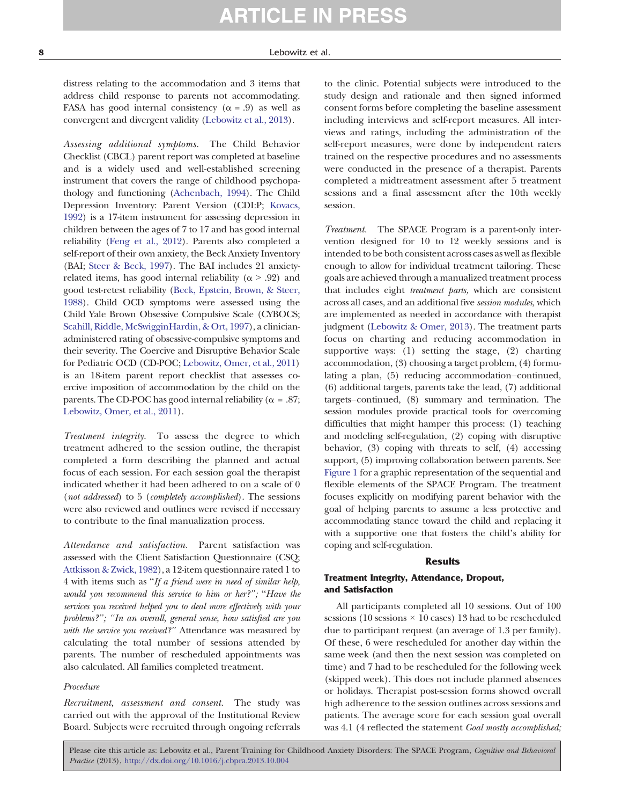#### 8 Lebowitz et al.

distress relating to the accommodation and 3 items that address child response to parents not accommodating. FASA has good internal consistency ( $\alpha = .9$ ) as well as convergent and divergent validity [\(Lebowitz et al., 2013\)](#page-12-0).

Assessing additional symptoms. The Child Behavior Checklist (CBCL) parent report was completed at baseline and is a widely used and well-established screening instrument that covers the range of childhood psychopathology and functioning [\(Achenbach, 1994](#page-11-0)). The Child Depression Inventory: Parent Version (CDI:P; [Kovacs,](#page-12-0) [1992](#page-12-0)) is a 17-item instrument for assessing depression in children between the ages of 7 to 17 and has good internal reliability ([Feng et al., 2012](#page-11-0)). Parents also completed a self-report of their own anxiety, the Beck Anxiety Inventory (BAI; [Steer & Beck, 1997](#page-12-0)). The BAI includes 21 anxietyrelated items, has good internal reliability ( $\alpha$  > .92) and good test-retest reliability ([Beck, Epstein, Brown, & Steer,](#page-11-0) [1988](#page-11-0)). Child OCD symptoms were assessed using the Child Yale Brown Obsessive Compulsive Scale (CYBOCS; [Scahill, Riddle, McSwigginHardin, & Ort, 1997](#page-12-0)), a clinicianadministered rating of obsessive-compulsive symptoms and their severity. The Coercive and Disruptive Behavior Scale for Pediatric OCD (CD-POC; [Lebowitz, Omer, et al., 2011](#page-12-0)) is an 18-item parent report checklist that assesses coercive imposition of accommodation by the child on the parents. The CD-POC has good internal reliability ( $\alpha = .87$ ; [Lebowitz, Omer, et al., 2011\)](#page-12-0).

Treatment integrity. To assess the degree to which treatment adhered to the session outline, the therapist completed a form describing the planned and actual focus of each session. For each session goal the therapist indicated whether it had been adhered to on a scale of 0 (not addressed) to 5 (completely accomplished). The sessions were also reviewed and outlines were revised if necessary to contribute to the final manualization process.

Attendance and satisfaction. Parent satisfaction was assessed with the Client Satisfaction Questionnaire (CSQ; [Attkisson & Zwick, 1982](#page-11-0)), a 12-item questionnaire rated 1 to 4 with items such as "If a friend were in need of similar help, would you recommend this service to him or her?"; "Have the services you received helped you to deal more effectively with your problems?"; "In an overall, general sense, how satisfied are you with the service you received?" Attendance was measured by calculating the total number of sessions attended by parents. The number of rescheduled appointments was also calculated. All families completed treatment.

### Procedure

Recruitment, assessment and consent. The study was carried out with the approval of the Institutional Review Board. Subjects were recruited through ongoing referrals

to the clinic. Potential subjects were introduced to the study design and rationale and then signed informed consent forms before completing the baseline assessment including interviews and self-report measures. All interviews and ratings, including the administration of the self-report measures, were done by independent raters trained on the respective procedures and no assessments were conducted in the presence of a therapist. Parents completed a midtreatment assessment after 5 treatment sessions and a final assessment after the 10th weekly session.

Treatment. The SPACE Program is a parent-only intervention designed for 10 to 12 weekly sessions and is intended to be both consistent across cases as well as flexible enough to allow for individual treatment tailoring. These goals are achieved through a manualized treatment process that includes eight treatment parts, which are consistent across all cases, and an additional five session modules, which are implemented as needed in accordance with therapist judgment [\(Lebowitz & Omer, 2013\)](#page-12-0). The treatment parts focus on charting and reducing accommodation in supportive ways: (1) setting the stage, (2) charting accommodation, (3) choosing a target problem, (4) formulating a plan, (5) reducing accommodation–continued, (6) additional targets, parents take the lead, (7) additional targets–continued, (8) summary and termination. The session modules provide practical tools for overcoming difficulties that might hamper this process: (1) teaching and modeling self-regulation, (2) coping with disruptive behavior, (3) coping with threats to self, (4) accessing support, (5) improving collaboration between parents. See [Figure 1](#page-8-0) for a graphic representation of the sequential and flexible elements of the SPACE Program. The treatment focuses explicitly on modifying parent behavior with the goal of helping parents to assume a less protective and accommodating stance toward the child and replacing it with a supportive one that fosters the child's ability for coping and self-regulation.

#### Results

### Treatment Integrity, Attendance, Dropout, and Satisfaction

All participants completed all 10 sessions. Out of 100 sessions (10 sessions  $\times$  10 cases) 13 had to be rescheduled due to participant request (an average of 1.3 per family). Of these, 6 were rescheduled for another day within the same week (and then the next session was completed on time) and 7 had to be rescheduled for the following week (skipped week). This does not include planned absences or holidays. Therapist post-session forms showed overall high adherence to the session outlines across sessions and patients. The average score for each session goal overall was 4.1 (4 reflected the statement Goal mostly accomplished;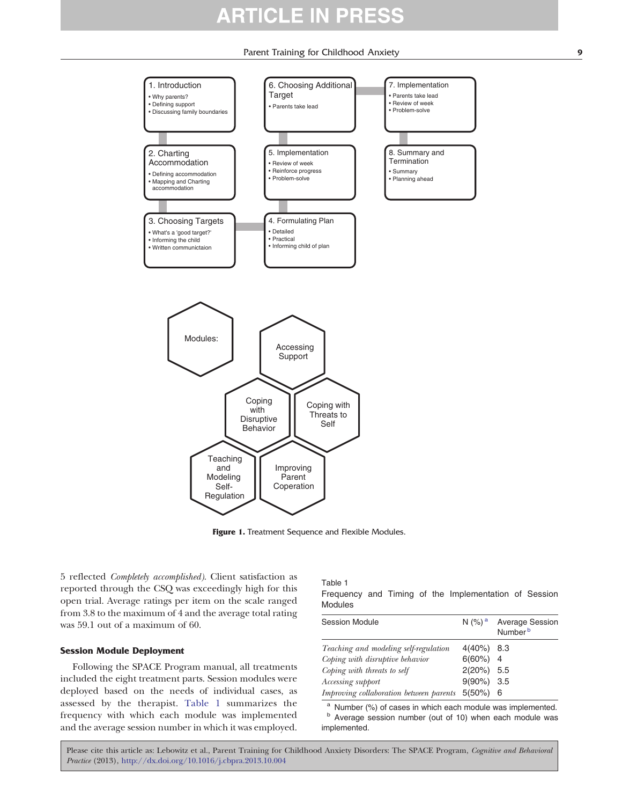### Parent Training for Childhood Anxiety 9

<span id="page-8-0"></span>

Figure 1. Treatment Sequence and Flexible Modules.

5 reflected Completely accomplished). Client satisfaction as reported through the CSQ was exceedingly high for this open trial. Average ratings per item on the scale ranged from 3.8 to the maximum of 4 and the average total rating was 59.1 out of a maximum of 60.

### Session Module Deployment

Following the SPACE Program manual, all treatments included the eight treatment parts. Session modules were deployed based on the needs of individual cases, as assessed by the therapist. Table 1 summarizes the frequency with which each module was implemented and the average session number in which it was employed.

Table 1 Frequency and Timing of the Implementation of Session Modules

| <b>Session Module</b>                          |               | $N$ (%) <sup>a</sup> Average Session<br>Number <sup>b</sup> |  |  |
|------------------------------------------------|---------------|-------------------------------------------------------------|--|--|
| Teaching and modeling self-regulation          | $4(40\%)$ 8.3 |                                                             |  |  |
| Coping with disruptive behavior                | $6(60\%)$ 4   |                                                             |  |  |
| Coping with threats to self                    | 2(20%) 5.5    |                                                             |  |  |
| Accessing support                              | 9(90%) 3.5    |                                                             |  |  |
| <i>Improving collaboration between parents</i> | $5(50\%)$ 6   |                                                             |  |  |

<sup>a</sup> Number (%) of cases in which each module was implemented.<br><sup>b</sup> Average session number (out of 10) when each module was implemented.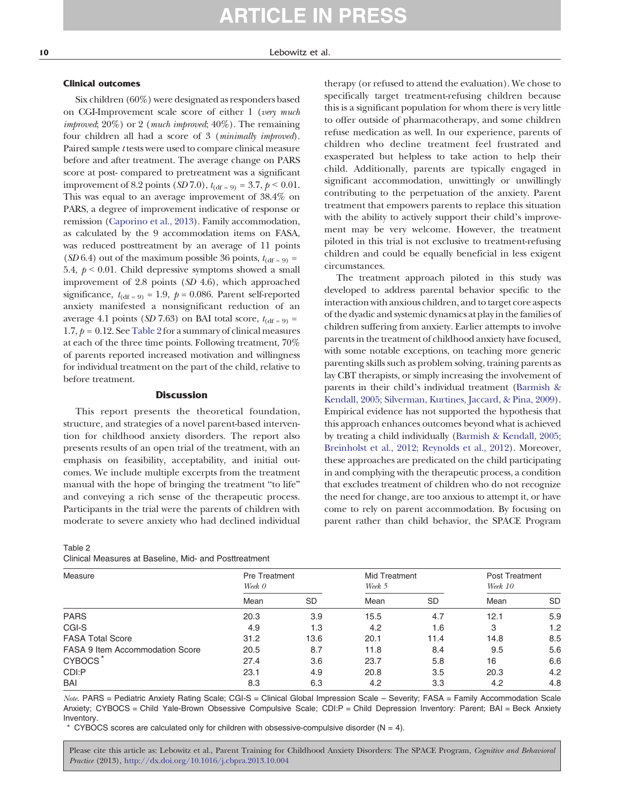#### 10 Lebowitz et al.

#### Clinical outcomes

Six children (60%) were designated as responders based on CGI-Improvement scale score of either 1 (very much improved; 20%) or 2 (much improved; 40%). The remaining four children all had a score of 3 (minimally improved). Paired sample t tests were used to compare clinical measure before and after treatment. The average change on PARS score at post- compared to pretreatment was a significant improvement of 8.2 points (SD 7.0),  $t_{(df = 9)} = 3.7$ ,  $p < 0.01$ . This was equal to an average improvement of 38.4% on PARS, a degree of improvement indicative of response or remission [\(Caporino et al., 2013\)](#page-11-0). Family accommodation, as calculated by the 9 accommodation items on FASA, was reduced posttreatment by an average of 11 points (SD 6.4) out of the maximum possible 36 points,  $t_{\text{(df = 9)}}$  = 5.4,  $p < 0.01$ . Child depressive symptoms showed a small improvement of 2.8 points (SD 4.6), which approached significance,  $t_{\text{(df = 9)}} = 1.9$ ,  $p = 0.086$ . Parent self-reported anxiety manifested a nonsignificant reduction of an average 4.1 points (SD 7.63) on BAI total score,  $t_{\text{(df = 9)}}$  = 1.7,  $p = 0.12$ . See Table 2 for a summary of clinical measures at each of the three time points. Following treatment, 70% of parents reported increased motivation and willingness for individual treatment on the part of the child, relative to before treatment.

#### **Discussion**

This report presents the theoretical foundation, structure, and strategies of a novel parent-based intervention for childhood anxiety disorders. The report also presents results of an open trial of the treatment, with an emphasis on feasibility, acceptability, and initial outcomes. We include multiple excerpts from the treatment manual with the hope of bringing the treatment "to life" and conveying a rich sense of the therapeutic process. Participants in the trial were the parents of children with moderate to severe anxiety who had declined individual

#### Table 2 Clinical Measures at Baseline, Mid- and Posttreatment

therapy (or refused to attend the evaluation). We chose to specifically target treatment-refusing children because this is a significant population for whom there is very little to offer outside of pharmacotherapy, and some children refuse medication as well. In our experience, parents of children who decline treatment feel frustrated and exasperated but helpless to take action to help their child. Additionally, parents are typically engaged in significant accommodation, unwittingly or unwillingly contributing to the perpetuation of the anxiety. Parent treatment that empowers parents to replace this situation with the ability to actively support their child's improvement may be very welcome. However, the treatment piloted in this trial is not exclusive to treatment-refusing children and could be equally beneficial in less exigent circumstances.

The treatment approach piloted in this study was developed to address parental behavior specific to the interaction with anxious children, and to target core aspects of the dyadic and systemic dynamics at play in the families of children suffering from anxiety. Earlier attempts to involve parents in the treatment of childhood anxiety have focused, with some notable exceptions, on teaching more generic parenting skills such as problem solving, training parents as lay CBT therapists, or simply increasing the involvement of parents in their child's individual treatment [\(Barmish &](#page-11-0) [Kendall, 2005; Silverman, Kurtines, Jaccard, & Pina, 2009](#page-11-0)). Empirical evidence has not supported the hypothesis that this approach enhances outcomes beyond what is achieved by treating a child individually [\(Barmish & Kendall, 2005;](#page-11-0) [Breinholst et al., 2012; Reynolds et al., 2012](#page-11-0)). Moreover, these approaches are predicated on the child participating in and complying with the therapeutic process, a condition that excludes treatment of children who do not recognize the need for change, are too anxious to attempt it, or have come to rely on parent accommodation. By focusing on parent rather than child behavior, the SPACE Program

| Measure                         | <b>Pre Treatment</b> |           | Mid Treatment |           | <b>Post Treatment</b> |           |
|---------------------------------|----------------------|-----------|---------------|-----------|-----------------------|-----------|
|                                 | Week 0               |           | Week 5        |           | Week 10               |           |
|                                 | Mean                 | <b>SD</b> | Mean          | <b>SD</b> | Mean                  | <b>SD</b> |
| <b>PARS</b>                     | 20.3                 | 3.9       | 15.5          | 4.7       | 12.1                  | 5.9       |
| CGI-S                           | 4.9                  | 1.3       | 4.2           | 1.6       | 3                     | 1.2       |
| <b>FASA Total Score</b>         | 31.2                 | 13.6      | 20.1          | 11.4      | 14.8                  | 8.5       |
| FASA 9 Item Accommodation Score | 20.5                 | 8.7       | 11.8          | 8.4       | 9.5                   | 5.6       |
| CYBOCS <sup>*</sup>             | 27.4                 | 3.6       | 23.7          | 5.8       | 16                    | 6.6       |
| CDI:P                           | 23.1                 | 4.9       | 20.8          | 3.5       | 20.3                  | 4.2       |
| <b>BAI</b>                      | 8.3                  | 6.3       | 4.2           | 3.3       | 4.2                   | 4.8       |

Note. PARS = Pediatric Anxiety Rating Scale; CGI-S = Clinical Global Impression Scale - Severity; FASA = Family Accommodation Scale Anxiety; CYBOCS = Child Yale-Brown Obsessive Compulsive Scale; CDI:P = Child Depression Inventory: Parent; BAI = Beck Anxiety Inventory.

CYBOCS scores are calculated only for children with obsessive-compulsive disorder ( $N = 4$ ).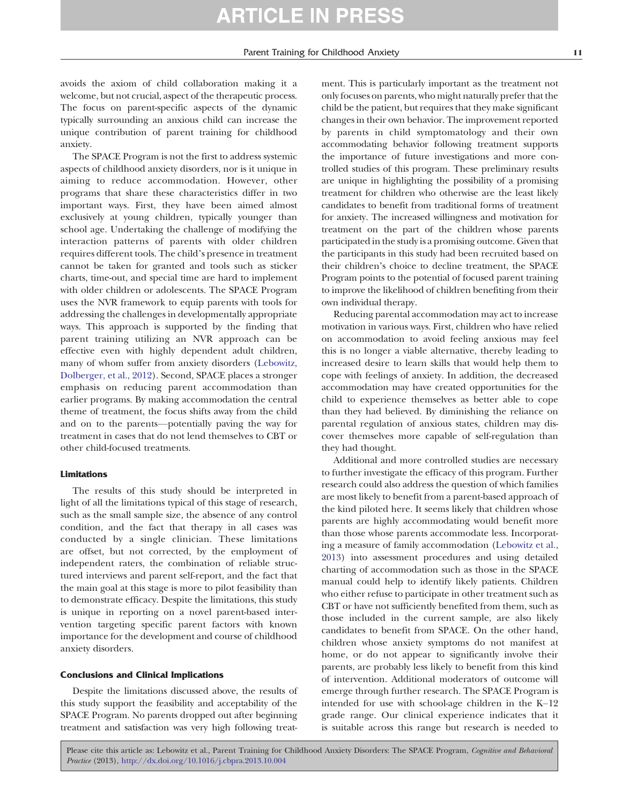avoids the axiom of child collaboration making it a welcome, but not crucial, aspect of the therapeutic process. The focus on parent-specific aspects of the dynamic typically surrounding an anxious child can increase the unique contribution of parent training for childhood anxiety.

The SPACE Program is not the first to address systemic aspects of childhood anxiety disorders, nor is it unique in aiming to reduce accommodation. However, other programs that share these characteristics differ in two important ways. First, they have been aimed almost exclusively at young children, typically younger than school age. Undertaking the challenge of modifying the interaction patterns of parents with older children requires different tools. The child's presence in treatment cannot be taken for granted and tools such as sticker charts, time-out, and special time are hard to implement with older children or adolescents. The SPACE Program uses the NVR framework to equip parents with tools for addressing the challenges in developmentally appropriate ways. This approach is supported by the finding that parent training utilizing an NVR approach can be effective even with highly dependent adult children, many of whom suffer from anxiety disorders ([Lebowitz,](#page-12-0) [Dolberger, et al., 2012\)](#page-12-0). Second, SPACE places a stronger emphasis on reducing parent accommodation than earlier programs. By making accommodation the central theme of treatment, the focus shifts away from the child and on to the parents—potentially paving the way for treatment in cases that do not lend themselves to CBT or other child-focused treatments.

### Limitations

The results of this study should be interpreted in light of all the limitations typical of this stage of research, such as the small sample size, the absence of any control condition, and the fact that therapy in all cases was conducted by a single clinician. These limitations are offset, but not corrected, by the employment of independent raters, the combination of reliable structured interviews and parent self-report, and the fact that the main goal at this stage is more to pilot feasibility than to demonstrate efficacy. Despite the limitations, this study is unique in reporting on a novel parent-based intervention targeting specific parent factors with known importance for the development and course of childhood anxiety disorders.

#### Conclusions and Clinical Implications

Despite the limitations discussed above, the results of this study support the feasibility and acceptability of the SPACE Program. No parents dropped out after beginning treatment and satisfaction was very high following treatment. This is particularly important as the treatment not only focuses on parents, who might naturally prefer that the child be the patient, but requires that they make significant changes in their own behavior. The improvement reported by parents in child symptomatology and their own accommodating behavior following treatment supports the importance of future investigations and more controlled studies of this program. These preliminary results are unique in highlighting the possibility of a promising treatment for children who otherwise are the least likely candidates to benefit from traditional forms of treatment for anxiety. The increased willingness and motivation for treatment on the part of the children whose parents participated in the study is a promising outcome. Given that the participants in this study had been recruited based on their children's choice to decline treatment, the SPACE Program points to the potential of focused parent training to improve the likelihood of children benefiting from their own individual therapy.

Reducing parental accommodation may act to increase motivation in various ways. First, children who have relied on accommodation to avoid feeling anxious may feel this is no longer a viable alternative, thereby leading to increased desire to learn skills that would help them to cope with feelings of anxiety. In addition, the decreased accommodation may have created opportunities for the child to experience themselves as better able to cope than they had believed. By diminishing the reliance on parental regulation of anxious states, children may discover themselves more capable of self-regulation than they had thought.

Additional and more controlled studies are necessary to further investigate the efficacy of this program. Further research could also address the question of which families are most likely to benefit from a parent-based approach of the kind piloted here. It seems likely that children whose parents are highly accommodating would benefit more than those whose parents accommodate less. Incorporating a measure of family accommodation [\(Lebowitz et al.,](#page-12-0) [2013\)](#page-12-0) into assessment procedures and using detailed charting of accommodation such as those in the SPACE manual could help to identify likely patients. Children who either refuse to participate in other treatment such as CBT or have not sufficiently benefited from them, such as those included in the current sample, are also likely candidates to benefit from SPACE. On the other hand, children whose anxiety symptoms do not manifest at home, or do not appear to significantly involve their parents, are probably less likely to benefit from this kind of intervention. Additional moderators of outcome will emerge through further research. The SPACE Program is intended for use with school-age children in the K–12 grade range. Our clinical experience indicates that it is suitable across this range but research is needed to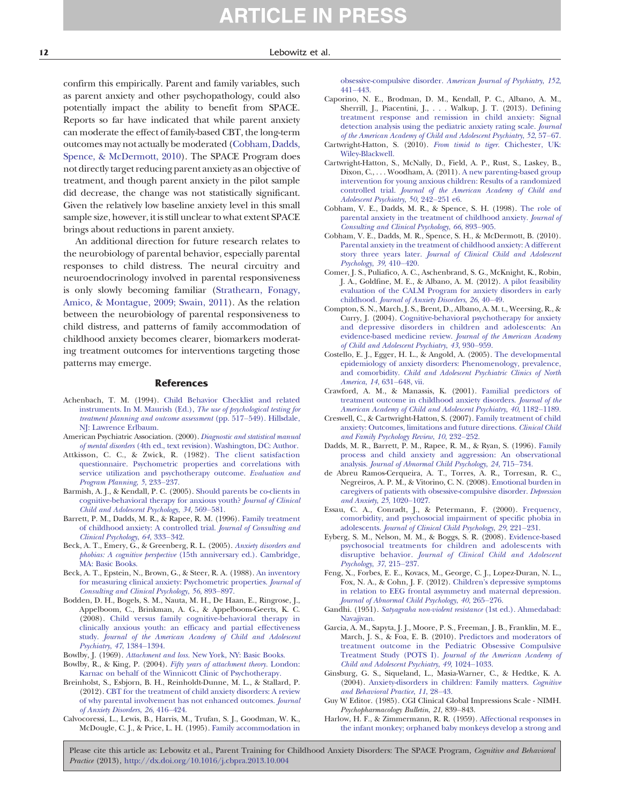#### <span id="page-11-0"></span>12 Lebowitz et al.

confirm this empirically. Parent and family variables, such as parent anxiety and other psychopathology, could also potentially impact the ability to benefit from SPACE. Reports so far have indicated that while parent anxiety can moderate the effect of family-based CBT, the long-term outcomes may not actually be moderated (Cobham, Dadds, Spence, & McDermott, 2010). The SPACE Program does not directly target reducing parent anxiety as an objective of treatment, and though parent anxiety in the pilot sample did decrease, the change was not statistically significant. Given the relatively low baseline anxiety level in this small sample size, however, it is still unclear to what extent SPACE brings about reductions in parent anxiety.

An additional direction for future research relates to the neurobiology of parental behavior, especially parental responses to child distress. The neural circuitry and neuroendocrinology involved in parental responsiveness is only slowly becoming familiar ([Strathearn, Fonagy,](#page-12-0) [Amico, & Montague, 2009; Swain, 2011\)](#page-12-0). As the relation between the neurobiology of parental responsiveness to child distress, and patterns of family accommodation of childhood anxiety becomes clearer, biomarkers moderating treatment outcomes for interventions targeting those patterns may emerge.

#### References

- Achenbach, T. M. (1994). Child Behavior Checklist and related instruments. In M. Maurish (Ed.), The use of psychological testing for treatment planning and outcome assessment (pp. 517–549). Hillsdale, NJ: Lawrence Erlbaum.
- American Psychiatric Association. (2000). Diagnostic and statistical manual of mental disorders (4th ed., text revision). Washington, DC: Author.
- Attkisson, C. C., & Zwick, R. (1982). The client satisfaction questionnaire. Psychometric properties and correlations with service utilization and psychotherapy outcome. Evaluation and Program Planning, 5, 233–237.
- Barmish, A. J., & Kendall, P. C. (2005). Should parents be co-clients in cognitive-behavioral therapy for anxious youth? Journal of Clinical Child and Adolescent Psychology, 34, 569–581.
- Barrett, P. M., Dadds, M. R., & Rapee, R. M. (1996). Family treatment of childhood anxiety: A controlled trial. Journal of Consulting and Clinical Psychology, 64, 333–342.
- Beck, A. T., Emery, G., & Greenberg, R. L. (2005). Anxiety disorders and phobias: A cognitive perspective (15th anniversary ed.). Cambridge, MA: Basic Books.
- Beck, A. T., Epstein, N., Brown, G., & Steer, R. A. (1988). An inventory for measuring clinical anxiety: Psychometric properties. Journal of Consulting and Clinical Psychology, 56, 893–897.
- Bodden, D. H., Bogels, S. M., Nauta, M. H., De Haan, E., Ringrose, J., Appelboom, C., Brinkman, A. G., & Appelboom-Geerts, K. C. (2008). Child versus family cognitive-behavioral therapy in clinically anxious youth: an efficacy and partial effectiveness study. Journal of the American Academy of Child and Adolescent Psychiatry, 47, 1384–1394.
- Bowlby, J. (1969). Attachment and loss. New York, NY: Basic Books.
- Bowlby, R., & King, P. (2004). Fifty years of attachment theory. London: Karnac on behalf of the Winnicott Clinic of Psychotherapy.
- Breinholst, S., Esbjorn, B. H., Reinholdt-Dunne, M. L., & Stallard, P. (2012). CBT for the treatment of child anxiety disorders: A review of why parental involvement has not enhanced outcomes. Journal of Anxiety Disorders, 26, 416–424.
- Calvocoressi, L., Lewis, B., Harris, M., Trufan, S. J., Goodman, W. K., McDougle, C. J., & Price, L. H. (1995). Family accommodation in

obsessive-compulsive disorder. American Journal of Psychiatry, 152, 441–443.

- Caporino, N. E., Brodman, D. M., Kendall, P. C., Albano, A. M., Sherrill, J., Piacentini, J., . . . Walkup, J. T. (2013). Defining treatment response and remission in child anxiety: Signal detection analysis using the pediatric anxiety rating scale. Journal of the American Academy of Child and Adolescent Psychiatry, 52, 57–67.
- Cartwright-Hatton, S. (2010). From timid to tiger. Chichester, UK: Wiley-Blackwell.
- Cartwright-Hatton, S., McNally, D., Field, A. P., Rust, S., Laskey, B., Dixon, C., ... Woodham, A. (2011). A new parenting-based group intervention for young anxious children: Results of a randomized controlled trial. Journal of the American Academy of Child and Adolescent Psychiatry, 50, 242–251 e6.
- Cobham, V. E., Dadds, M. R., & Spence, S. H. (1998). The role of parental anxiety in the treatment of childhood anxiety. Journal of Consulting and Clinical Psychology, 66, 893–905.
- Cobham, V. E., Dadds, M. R., Spence, S. H., & McDermott, B. (2010). Parental anxiety in the treatment of childhood anxiety: A different story three years later. Journal of Clinical Child and Adolescent Psychology, 39, 410–420.
- Comer, J. S., Puliafico, A. C., Aschenbrand, S. G., McKnight, K., Robin, J. A., Goldfine, M. E., & Albano, A. M. (2012). A pilot feasibility evaluation of the CALM Program for anxiety disorders in early childhood. Journal of Anxiety Disorders, 26, 40–49.
- Compton, S. N., March, J. S., Brent, D., Albano, A. M. t., Weersing, R., & Curry, J. (2004). Cognitive-behavioral psychotherapy for anxiety and depressive disorders in children and adolescents: An evidence-based medicine review. Journal of the American Academy of Child and Adolescent Psychiatry, 43, 930–959.
- Costello, E. J., Egger, H. L., & Angold, A. (2005). The developmental epidemiology of anxiety disorders: Phenomenology, prevalence, and comorbidity. Child and Adolescent Psychiatric Clinics of North America, 14, 631–648, vii.
- Crawford, A. M., & Manassis, K. (2001). Familial predictors of treatment outcome in childhood anxiety disorders. Journal of the American Academy of Child and Adolescent Psychiatry, 40, 1182–1189.
- Creswell, C., & Cartwright-Hatton, S. (2007). Family treatment of child anxiety: Outcomes, limitations and future directions. Clinical Child and Family Psychology Review, 10, 232–252.
- Dadds, M. R., Barrett, P. M., Rapee, R. M., & Ryan, S. (1996). Family process and child anxiety and aggression: An observational analysis. Journal of Abnormal Child Psychology, 24, 715–734.
- de Abreu Ramos-Cerqueira, A. T., Torres, A. R., Torresan, R. C., Negreiros, A. P. M., & Vitorino, C. N. (2008). Emotional burden in caregivers of patients with obsessive-compulsive disorder. Depression and Anxiety, 25, 1020–1027.
- Essau, C. A., Conradt, J., & Petermann, F. (2000). Frequency, comorbidity, and psychosocial impairment of specific phobia in adolescents. Journal of Clinical Child Psychology, 29, 221–231.
- Eyberg, S. M., Nelson, M. M., & Boggs, S. R. (2008). Evidence-based psychosocial treatments for children and adolescents with disruptive behavior. Journal of Clinical Child and Adolescent Psychology, 37, 215–237.
- Feng, X., Forbes, E. E., Kovacs, M., George, C. J., Lopez-Duran, N. L., Fox, N. A., & Cohn, J. F. (2012). Children's depressive symptoms in relation to EEG frontal asymmetry and maternal depression. Journal of Abnormal Child Psychology, 40, 265–276.
- Gandhi. (1951). Satyagraha non-violent resistance (1st ed.). Ahmedabad: Navajivan.
- Garcia, A. M., Sapyta, J. J., Moore, P. S., Freeman, J. B., Franklin, M. E., March, J. S., & Foa, E. B. (2010). Predictors and moderators of treatment outcome in the Pediatric Obsessive Compulsive Treatment Study (POTS I). Journal of the American Academy of Child and Adolescent Psychiatry, 49, 1024–1033.
- Ginsburg, G. S., Siqueland, L., Masia-Warner, C., & Hedtke, K. A. (2004). Anxiety-disorders in children: Family matters. Cognitive and Behavioral Practice, 11, 28–43.
- Guy W Editor. (1985). CGI Clinical Global Impressions Scale NIMH. Psychopharmacology Bulletin, 21, 839–843.
- Harlow, H. F., & Zimmermann, R. R. (1959). Affectional responses in the infant monkey; orphaned baby monkeys develop a strong and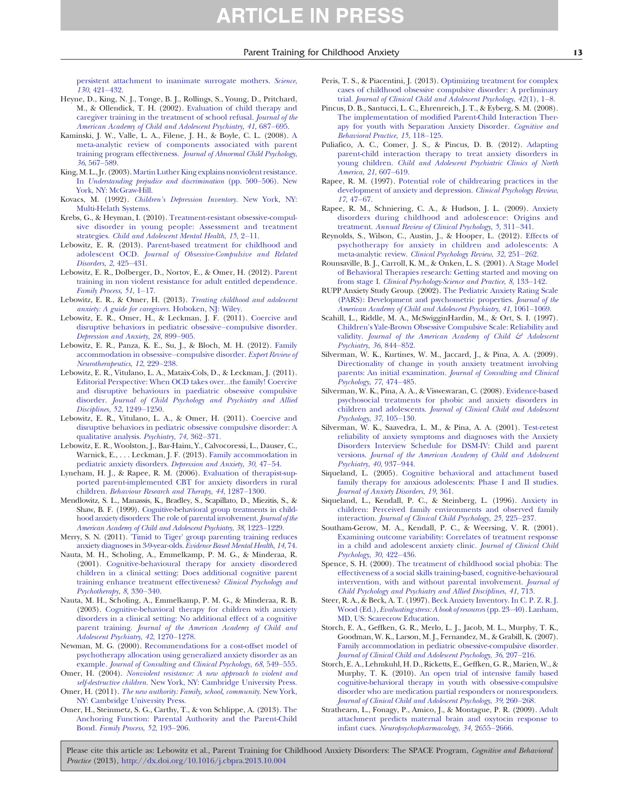#### Parent Training for Childhood Anxiety 13

<span id="page-12-0"></span>persistent attachment to inanimate surrogate mothers. Science, 130, 421–432.

- Heyne, D., King, N. J., Tonge, B. J., Rollings, S., Young, D., Pritchard, M., & Ollendick, T. H. (2002). Evaluation of child therapy and caregiver training in the treatment of school refusal. Journal of the American Academy of Child and Adolescent Psychiatry, 41, 687–695.
- Kaminski, J. W., Valle, L. A., Filene, J. H., & Boyle, C. L. (2008). A meta-analytic review of components associated with parent training program effectiveness. Journal of Abnormal Child Psychology, 36, 567–589.
- King, M. L., Jr. (2003). Martin Luther King explains nonviolent resistance. In Understanding prejudice and discrimination (pp. 500–506). New York, NY: McGraw-Hill.
- Kovacs, M. (1992). Children's Depression Inventory. New York, NY: Multi-Helath Systems.
- Krebs, G., & Heyman, I. (2010). Treatment-resistant obsessive-compulsive disorder in young people: Assessment and treatment strategies. Child and Adolescent Mental Health, 15, 2–11.
- Lebowitz, E. R. (2013). Parent-based treatment for childhood and adolescent OCD. Journal of Obsessive-Compulsive and Related Disorders, 2, 425–431.
- Lebowitz, E. R., Dolberger, D., Nortov, E., & Omer, H. (2012). Parent training in non violent resistance for adult entitled dependence. Family Process, 51, 1–17.
- Lebowitz, E. R., & Omer, H. (2013). Treating childhood and adolescent anxiety: A guide for caregivers. Hoboken, NJ: Wiley.
- Lebowitz, E. R., Omer, H., & Leckman, J. F. (2011). Coercive and disruptive behaviors in pediatric obsessive–compulsive disorder. Depression and Anxiety, 28, 899–905.
- Lebowitz, E. R., Panza, K. E., Su, J., & Bloch, M. H. (2012). Family accommodation in obsessive–compulsive disorder. Expert Review of Neurotherapeutics, 12, 229–238.
- Lebowitz, E. R., Vitulano, L. A., Mataix-Cols, D., & Leckman, J. (2011). Editorial Perspective: When OCD takes over…the family! Coercive and disruptive behaviours in paediatric obsessive compulsive disorder. Journal of Child Psychology and Psychiatry and Allied Disciplines, 52, 1249–1250.
- Lebowitz, E. R., Vitulano, L. A., & Omer, H. (2011). Coercive and disruptive behaviors in pediatric obsessive compulsive disorder: A qualitative analysis. Psychiatry, 74, 362–371.
- Lebowitz, E. R., Woolston, J., Bar-Haim, Y., Calvocoressi, L., Dauser, C., Warnick, E., . . . Leckman, J. F. (2013). Family accommodation in pediatric anxiety disorders. Depression and Anxiety, 30, 47–54.
- Lyneham, H. J., & Rapee, R. M. (2006). Evaluation of therapist-supported parent-implemented CBT for anxiety disorders in rural children. Behaviour Research and Therapy, 44, 1287–1300.
- Mendlowitz, S. L., Manassis, K., Bradley, S., Scapillato, D., Miezitis, S., & Shaw, B. F. (1999). Cognitive-behavioral group treatments in childhood anxiety disorders: The role of parental involvement. Journal of the American Academy of Child and Adolescent Psychiatry, 38, 1223–1229.
- Merry, S. N. (2011). 'Timid to Tiger' group parenting training reduces anxiety diagnoses in 3-9-year-olds. Evidence Based Mental Health, 14, 74.
- Nauta, M. H., Scholing, A., Emmelkamp, P. M. G., & Minderaa, R. (2001). Cognitive-behavioural therapy for anxiety disordered children in a clinical setting: Does additional cognitive parent training enhance treatment effectiveness? Clinical Psychology and Psychotherapy, 8, 330–340.
- Nauta, M. H., Scholing, A., Emmelkamp, P. M. G., & Minderaa, R. B. (2003). Cognitive-behavioral therapy for children with anxiety disorders in a clinical setting: No additional effect of a cognitive parent training. Journal of the American Academy of Child and Adolescent Psychiatry, 42, 1270–1278.
- Newman, M. G. (2000). Recommendations for a cost-offset model of psychotherapy allocation using generalized anxiety disorder as an example. Journal of Consulting and Clinical Psychology, 68, 549–555.
- Omer, H. (2004). Nonviolent resistance: A new approach to violent and self-destructive children. New York, NY: Cambridge University Press. Omer, H. (2011). The new authority: Family, school, community. New York,
- NY: Cambridge University Press. Omer, H., Steinmetz, S. G., Carthy, T., & von Schlippe, A. (2013). The
- Anchoring Function: Parental Authority and the Parent-Child Bond. Family Process, 52, 193–206.
- Peris, T. S., & Piacentini, J. (2013). Optimizing treatment for complex cases of childhood obsessive compulsive disorder: A preliminary trial. Journal of Clinical Child and Adolescent Psychology, 42(1), 1-8.
- Pincus, D. B., Santucci, L. C., Ehrenreich, J. T., & Eyberg, S. M. (2008). The implementation of modified Parent-Child Interaction Therapy for youth with Separation Anxiety Disorder. Cognitive and Behavioral Practice, 15, 118–125.
- Puliafico, A. C., Comer, J. S., & Pincus, D. B. (2012). Adapting parent-child interaction therapy to treat anxiety disorders in young children. Child and Adolescent Psychiatric Clinics of North America, 21, 607–619.
- Rapee, R. M. (1997). Potential role of childrearing practices in the development of anxiety and depression. Clinical Psychology Review, 17, 47–67.
- Rapee, R. M., Schniering, C. A., & Hudson, J. L. (2009). Anxiety disorders during childhood and adolescence: Origins and treatment. Annual Review of Clinical Psychology, 5, 311–341.
- Reynolds, S., Wilson, C., Austin, J., & Hooper, L. (2012). Effects of psychotherapy for anxiety in children and adolescents: A meta-analytic review. Clinical Psychology Review, 32, 251–262.
- Rounsaville, B. J., Carroll, K. M., & Onken, L. S. (2001). A Stage Model of Behavioral Therapies research: Getting started and moving on from stage I. Clinical Psychology-Science and Practice, 8, 133-142.
- RUPP Anxiety Study Group. (2002). The Pediatric Anxiety Rating Scale (PARS): Development and psychometric properties. Journal of the American Academy of Child and Adolescent Psychiatry, 41, 1061–1069.
- Scahill, L., Riddle, M. A., McSwigginHardin, M., & Ort, S. I. (1997). Children's Yale-Brown Obsessive Compulsive Scale: Reliability and validity. Journal of the American Academy of Child & Adolescent Psychiatry, 36, 844–852.
- Silverman, W. K., Kurtines, W. M., Jaccard, J., & Pina, A. A. (2009). Directionality of change in youth anxiety treatment involving parents: An initial examination. Journal of Consulting and Clinical Psychology, 77, 474–485.
- Silverman, W. K., Pina, A. A., & Viswesvaran, C. (2008). Evidence-based psychosocial treatments for phobic and anxiety disorders in children and adolescents. Journal of Clinical Child and Adolescent Psychology, 37, 105–130.
- Silverman, W. K., Saavedra, L. M., & Pina, A. A. (2001). Test-retest reliability of anxiety symptoms and diagnoses with the Anxiety Disorders Interview Schedule for DSM-IV: Child and parent versions. Journal of the American Academy of Child and Adolescent Psychiatry, 40, 937–944.
- Siqueland, L. (2005). Cognitive behavioral and attachment based family therapy for anxious adolescents: Phase I and II studies. Journal of Anxiety Disorders, 19, 361.
- Siqueland, L., Kendall, P. C., & Steinberg, L. (1996). Anxiety in children: Perceived family environments and observed family interaction. Journal of Clinical Child Psychology, 25, 225–237.
- Southam-Gerow, M. A., Kendall, P. C., & Weersing, V. R. (2001). Examining outcome variability: Correlates of treatment response in a child and adolescent anxiety clinic. Journal of Clinical Child Psychology, 30, 422–436.
- Spence, S. H. (2000). The treatment of childhood social phobia: The effectiveness of a social skills training-based, cognitive-behavioural intervention, with and without parental involvement. Journal of Child Psychology and Psychiatry and Allied Disciplines, 41, 713.
- Steer, R. A., & Beck, A. T. (1997). Beck Anxiety Inventory. In C. P. Z. R. J. Wood (Ed.), Evaluating stress: A book of resources (pp. 23–40). Lanham, MD, US: Scarecrow Education.
- Storch, E. A., Geffken, G. R., Merlo, L. J., Jacob, M. L., Murphy, T. K., Goodman, W. K., Larson, M. J., Fernandez, M., & Grabill, K. (2007). Family accommodation in pediatric obsessive-compulsive disorder. Journal of Clinical Child and Adolescent Psychology, 36, 207–216.
- Storch, E. A., Lehmkuhl, H. D., Ricketts, E., Geffken, G. R., Marien, W., & Murphy, T. K. (2010). An open trial of intensive family based cognitive-behavioral therapy in youth with obsessive-compulsive disorder who are medication partial responders or nonresponders. Journal of Clinical Child and Adolescent Psychology, 39, 260–268.
- Strathearn, L., Fonagy, P., Amico, J., & Montague, P. R. (2009). Adult attachment predicts maternal brain and oxytocin response to infant cues. Neuropsychopharmacology, 34, 2655–2666.